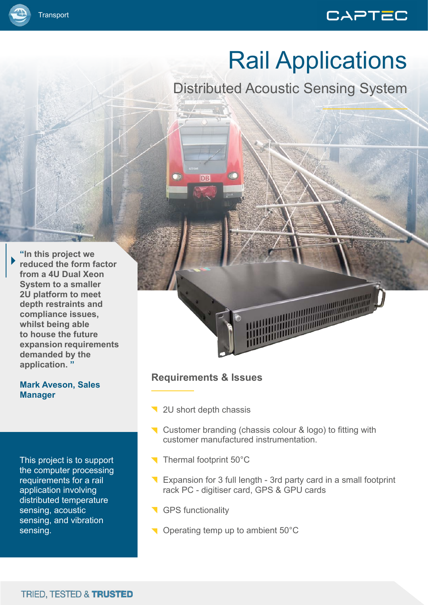# CAPTEC

Distributed Acoustic Sensing System

**"In this project we reduced the form factor from a 4U Dual Xeon System to a smaller 2U platform to meet depth restraints and compliance issues, whilst being able to house the future expansion requirements demanded by the application. "**

**Transport** 

#### **Mark Aveson, Sales Manager**

This project is to support the computer processing requirements for a rail application involving distributed temperature sensing, acoustic sensing, and vibration sensing.

## **Requirements & Issues**

- 12U short depth chassis
- Customer branding (chassis colour & logo) to fitting with customer manufactured instrumentation.
- Thermal footprint 50°C
- Expansion for 3 full length 3rd party card in a small footprint rack PC - digitiser card, GPS & GPU cards
- GPS functionality
- Operating temp up to ambient 50°C